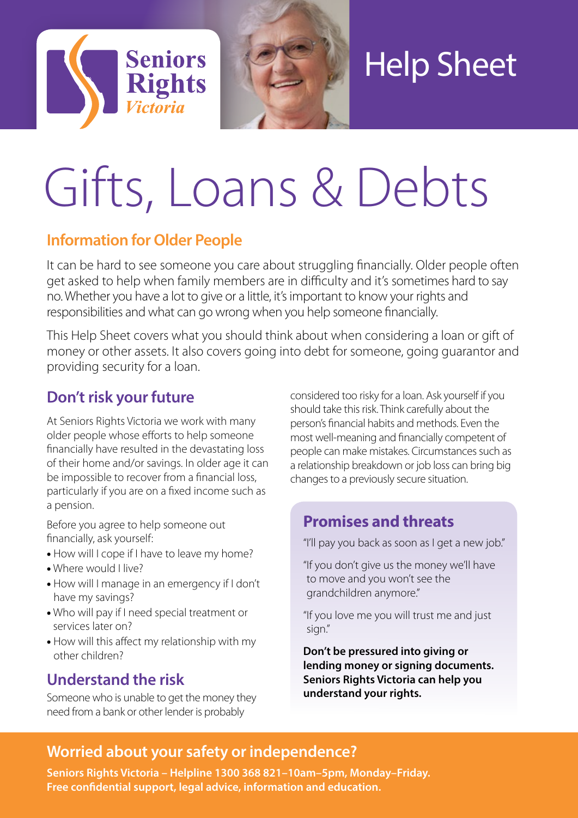



# Help Sheet

# Gifts, Loans & Debts

# **Information for Older People**

It can be hard to see someone you care about struggling financially. Older people often get asked to help when family members are in difficulty and it's sometimes hard to say no. Whether you have a lot to give or a little, it's important to know your rights and responsibilities and what can go wrong when you help someone financially.

This Help Sheet covers what you should think about when considering a loan or gift of money or other assets. It also covers going into debt for someone, going guarantor and providing security for a loan.

# **Don't risk your future**

At Seniors Rights Victoria we work with many older people whose efforts to help someone financially have resulted in the devastating loss of their home and/or savings. In older age it can be impossible to recover from a financial loss, particularly if you are on a fixed income such as a pension.

Before you agree to help someone out financially, ask yourself:

- How will I cope if I have to leave my home?
- Where would I live?
- How will I manage in an emergency if I don't have my savings?
- Who will pay if I need special treatment or services later on?
- How will this affect my relationship with my other children?

# **Understand the risk**

Someone who is unable to get the money they need from a bank or other lender is probably

considered too risky for a loan. Ask yourself if you should take this risk. Think carefully about the person's financial habits and methods. Even the most well-meaning and financially competent of people can make mistakes. Circumstances such as a relationship breakdown or job loss can bring big changes to a previously secure situation.

# **Promises and threats**

"I'll pay you back as soon as I get a new job."

- "If you don't give us the money we'll have to move and you won't see the grandchildren anymore."
- "If you love me you will trust me and just sign."

**Don't be pressured into giving or lending money or signing documents. Seniors Rights Victoria can help you understand your rights.**

# **Worried about your safety or independence?**

**Seniors Rights Victoria – Helpline 1300 368 821–10am–5pm, Monday–Friday. Free confidential support, legal advice, information and education.**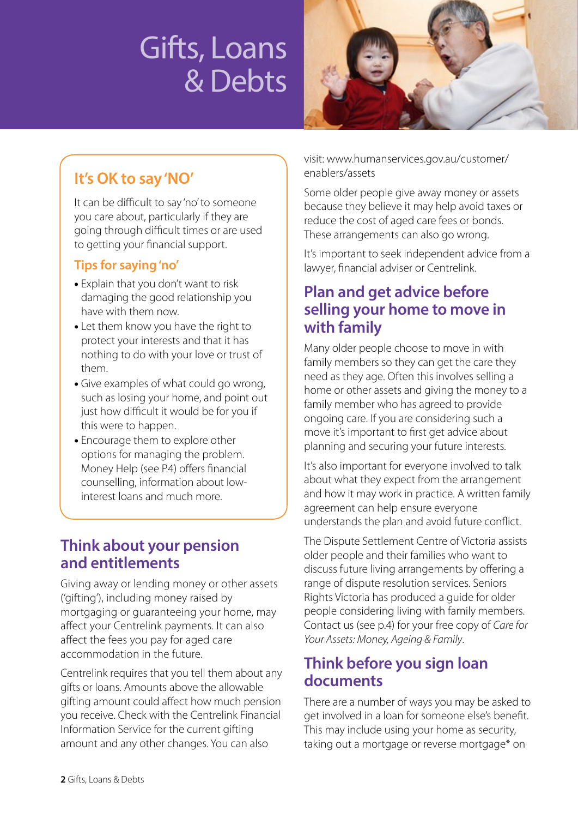# Gifts, Loans & Debts



# **It's OK to say 'NO'**

It can be difficult to say 'no' to someone you care about, particularly if they are going through difficult times or are used to getting your financial support.

### **Tips for saying 'no'**

- Explain that you don't want to risk damaging the good relationship you have with them now.
- Let them know you have the right to protect your interests and that it has nothing to do with your love or trust of them.
- Give examples of what could go wrong, such as losing your home, and point out just how difficult it would be for you if this were to happen.
- Encourage them to explore other options for managing the problem. Money Help (see P.4) offers financial counselling, information about lowinterest loans and much more.

# **Think about your pension and entitlements**

Giving away or lending money or other assets ('gifting'), including money raised by mortgaging or guaranteeing your home, may affect your Centrelink payments. It can also affect the fees you pay for aged care accommodation in the future.

Centrelink requires that you tell them about any gifts or loans. Amounts above the allowable gifting amount could affect how much pension you receive. Check with the Centrelink Financial Information Service for the current gifting amount and any other changes. You can also

visit: www.humanservices.gov.au/customer/ enablers/assets

Some older people give away money or assets because they believe it may help avoid taxes or reduce the cost of aged care fees or bonds. These arrangements can also go wrong.

It's important to seek independent advice from a lawyer, financial adviser or Centrelink.

# **Plan and get advice before selling your home to move in with family**

Many older people choose to move in with family members so they can get the care they need as they age. Often this involves selling a home or other assets and giving the money to a family member who has agreed to provide ongoing care. If you are considering such a move it's important to first get advice about planning and securing your future interests.

It's also important for everyone involved to talk about what they expect from the arrangement and how it may work in practice. A written family agreement can help ensure everyone understands the plan and avoid future conflict.

The Dispute Settlement Centre of Victoria assists older people and their families who want to discuss future living arrangements by offering a range of dispute resolution services. Seniors Rights Victoria has produced a guide for older people considering living with family members. Contact us (see p.4) for your free copy of *Care for Your Assets: Money, Ageing & Family*.

# **Think before you sign loan documents**

There are a number of ways you may be asked to get involved in a loan for someone else's benefit. This may include using your home as security, taking out a mortgage or reverse mortgage\* on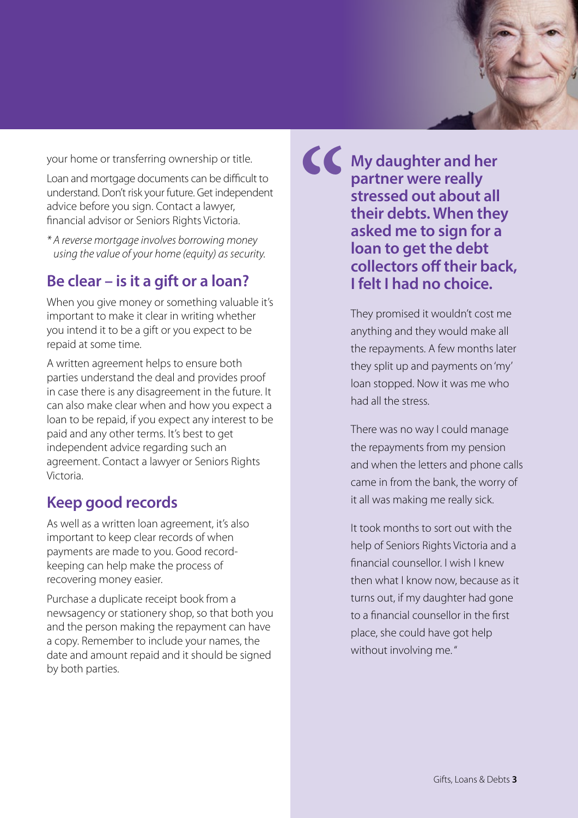your home or transferring ownership or title.

Loan and mortgage documents can be difficult to understand. Don't risk your future. Get independent advice before you sign. Contact a lawyer, financial advisor or Seniors Rights Victoria.

*\* A reverse mortgage involves borrowing money using the value of your home (equity) as security.*

### **Be clear – is it a gift or a loan?**

When you give money or something valuable it's important to make it clear in writing whether you intend it to be a gift or you expect to be repaid at some time.

A written agreement helps to ensure both parties understand the deal and provides proof in case there is any disagreement in the future. It can also make clear when and how you expect a loan to be repaid, if you expect any interest to be paid and any other terms. It's best to get independent advice regarding such an agreement. Contact a lawyer or Seniors Rights Victoria.

### **Keep good records**

As well as a written loan agreement, it's also important to keep clear records of when payments are made to you. Good recordkeeping can help make the process of recovering money easier.

Purchase a duplicate receipt book from a newsagency or stationery shop, so that both you and the person making the repayment can have a copy. Remember to include your names, the date and amount repaid and it should be signed by both parties.

**My daughter and her partner were really stressed out about all their debts. When they asked me to sign for a loan to get the debt collectors off their back, I felt I had no choice. "**

> They promised it wouldn't cost me anything and they would make all the repayments. A few months later they split up and payments on 'my' loan stopped. Now it was me who had all the stress.

There was no way I could manage the repayments from my pension and when the letters and phone calls came in from the bank, the worry of it all was making me really sick.

It took months to sort out with the help of Seniors Rights Victoria and a financial counsellor. I wish I knew then what I know now, because as it turns out, if my daughter had gone to a financial counsellor in the first place, she could have got help without involving me. "